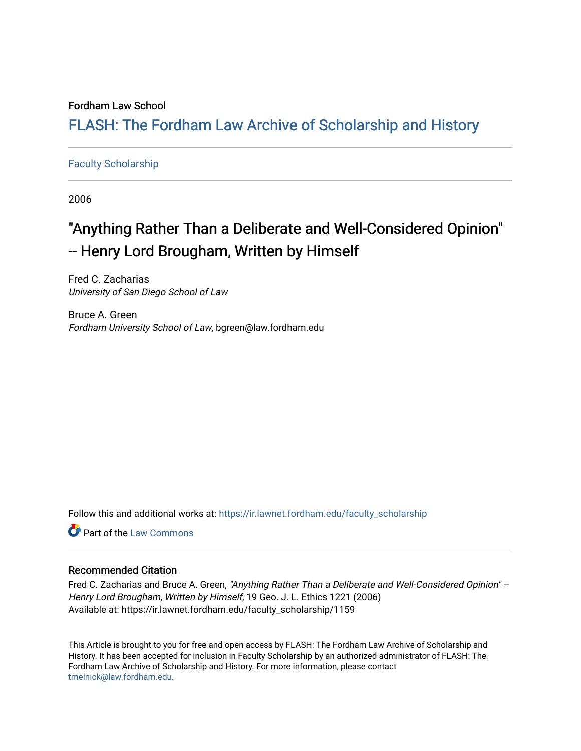### Fordham Law School

## FLASH: The For[dham Law Archive of Scholarship and Hist](https://ir.lawnet.fordham.edu/)ory

### [Faculty Scholarship](https://ir.lawnet.fordham.edu/faculty_scholarship)

2006

# "Anything Rather Than a Deliberate and Well-Considered Opinion" - Henry Lord Brougham, Written by Himself

Fred C. Zacharias University of San Diego School of Law

Bruce A. Green Fordham University School of Law, bgreen@law.fordham.edu

Follow this and additional works at: [https://ir.lawnet.fordham.edu/faculty\\_scholarship](https://ir.lawnet.fordham.edu/faculty_scholarship?utm_source=ir.lawnet.fordham.edu%2Ffaculty_scholarship%2F1159&utm_medium=PDF&utm_campaign=PDFCoverPages)

Part of the [Law Commons](http://network.bepress.com/hgg/discipline/578?utm_source=ir.lawnet.fordham.edu%2Ffaculty_scholarship%2F1159&utm_medium=PDF&utm_campaign=PDFCoverPages)

#### Recommended Citation

Fred C. Zacharias and Bruce A. Green, "Anything Rather Than a Deliberate and Well-Considered Opinion" --Henry Lord Brougham, Written by Himself, 19 Geo. J. L. Ethics 1221 (2006) Available at: https://ir.lawnet.fordham.edu/faculty\_scholarship/1159

This Article is brought to you for free and open access by FLASH: The Fordham Law Archive of Scholarship and History. It has been accepted for inclusion in Faculty Scholarship by an authorized administrator of FLASH: The Fordham Law Archive of Scholarship and History. For more information, please contact [tmelnick@law.fordham.edu](mailto:tmelnick@law.fordham.edu).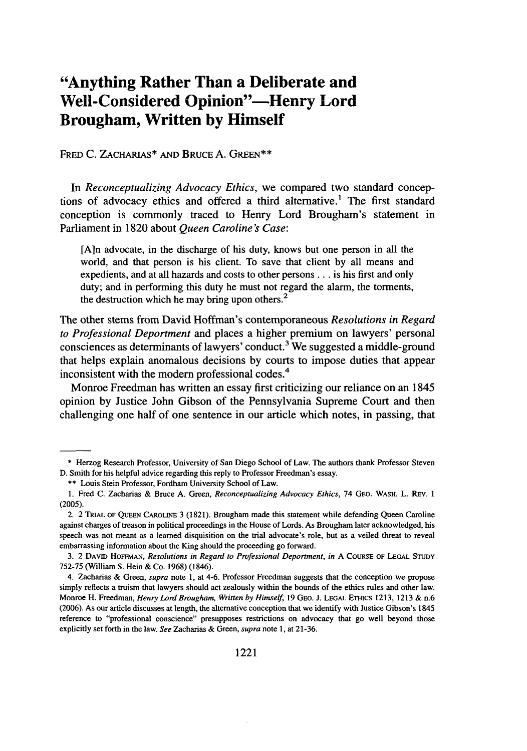## **"Anything Rather Than a Deliberate and Well-Considered Opinion"-Henry Lord Brougham, Written by Himself**

FRED **C.** ZACHARIAS\* **AND** BRUCE **A. GREEN\*\***

In *Reconceptualizing Advocacy Ethics,* we compared two standard conceptions of advocacy ethics and offered a third alternative.' The first standard conception is commonly traced to Henry Lord Brougham's statement in Parliament in **1820** about *Queen Caroline's Case:*

**[A]n** advocate, in the discharge of his duty, knows but one person in all the world, and that person is his client. To save that client **by** all means and expedients, and at all hazards and costs to other persons... is his first and only duty; and in performing this duty he must not regard the alarm, the torments, the destruction which he may bring upon others.<sup>2</sup>

The other stems from David Hoffman's contemporaneous *Resolutions in Regard to Professional Deportment* and places a higher premium on lawyers' personal consciences as determinants of lawyers' conduct.<sup>3</sup> We suggested a middle-ground that helps explain anomalous decisions **by** courts to impose duties that appear inconsistent with the modem professional codes.<sup>4</sup>

Monroe Freedman has written an essay first criticizing our reliance on an 1845 opinion **by** Justice John Gibson of the Pennsylvania Supreme Court and then challenging one half of one sentence in our article which notes, in passing, that

<sup>\*</sup> Herzog Research Professor, University of San Diego School of Law. The authors thank Professor Steven D. Smith for his helpful advice regarding this reply to Professor Freedman's essay.

<sup>\*\*</sup> Louis Stein Professor, Fordham University School of Law.

<sup>1.</sup> Fred C. Zacharias & Bruce A. Green, *Reconceptualizing Advocacy Ethics,* 74 GEo. WASH. L. REV. 1 (2005).

<sup>2. 2</sup> **TRIAL** OF QUEEN CAROLINE 3 (1821). Brougham made this statement while defending Queen Caroline against charges of treason in political proceedings in the House of Lords. As Brougham later acknowledged, his speech was not meant as a learned disquisition on the trial advocate's role, but as a veiled threat to reveal embarrassing information about the King should the proceeding go forward.

<sup>3. 2</sup> DAVID HoFFMAN, Resolutions *in Regard to Professional Deportment, in* A COURSE OF LEGAL **STUDY** 752-75 (William S. Hein & Co. 1968) (1846).

<sup>4.</sup> Zacharias & Green, *supra* note 1, at 4-6. Professor Freedman suggests that the conception we propose simply reflects a truism that lawyers should act zealously within the bounds of the ethics rules and other law. Monroe H. Freedman, *Henry Lord Brougham, Written by Himself*, 19 GEO. J. LEGAL ETHICS 1213, 1213 & n.6 (2006). As our article discusses at length, the alternative conception that we identify with Justice Gibson's 1845 reference to "professional conscience" presupposes restrictions on advocacy that go well beyond those explicitly set forth in the law. *See* Zacharias & Green, *supra* note 1, at 21-36.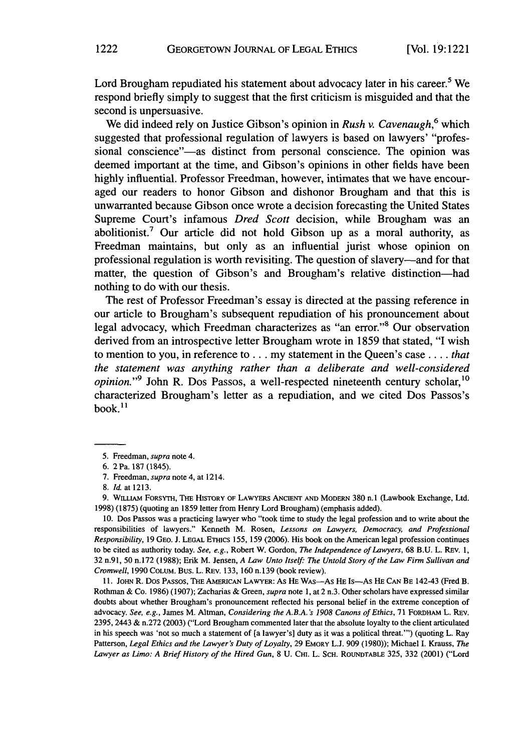Lord Brougham repudiated his statement about advocacy later in his career.<sup>5</sup> We respond briefly simply to suggest that the first criticism is misguided and that the second is unpersuasive.

We did indeed rely on Justice Gibson's opinion in *Rush v. Cavenaugh*,<sup>6</sup> which suggested that professional regulation of lawyers is based on lawyers' "professional conscience"—as distinct from personal conscience. The opinion was deemed important at the time, and Gibson's opinions in other fields have been **highly** influential. Professor Freedman, however, intimates that we have encouraged our readers to honor Gibson and dishonor Brougham and that this is unwarranted because Gibson once wrote a decision forecasting the United States Supreme Court's infamous *Dred Scott* decision, while Brougham was an abolitionist.<sup>7</sup> Our article did not hold Gibson up as a moral authority, as Freedman maintains, but only as an influential jurist whose opinion on professional regulation is worth revisiting. The question of slavery-and for that matter, the question of Gibson's and Brougham's relative distinction-had nothing to do with our thesis.

The rest of Professor Freedman's essay is directed at the passing reference in our article to Brougham's subsequent repudiation of his pronouncement about legal advocacy, which Freedman characterizes as "an error."S Our observation derived from an introspective letter Brougham wrote in **1859** that stated, **"I** wish to mention to you, in reference **to...** my statement in the Queen's case **....** *that the statement was anything rather than a deliberate and well-considered opinion.*"<sup>9</sup> John R. Dos Passos, a well-respected nineteenth century scholar, <sup>10</sup> characterized Brougham's letter as a repudiation, and we cited Dos Passos's book. $^{11}$ 

**9. WILIAM** FORSYTH, THE **HISTORY OF LAWYERS ANcIEr AND** MODERN **380** n.1 (Lawbook Exchange, Ltd. **1998) (1875)** (quoting an **1859** letter from Henry Lord Brougham) (emphasis added).

**10.** Dos Passos was a practicing lawyer who "took time to study the legal profession and to write about the responsibilities of lawyers." Kenneth M. Rosen, *Lessons on Lawyers, Democracy, and Professional Responsibility,* **19 GEO. J. LEGAL ETHICS 155, 159 (2006).** His book on the American legal profession continues to be cited as authority today. *See, e.g.,* Robert W. Gordon, *The Independence of Lawyers,* **68 B.U.** L. REv. **1, 32** n.91, **50** n.172 **(1988);** Erik M. Jensen, *A Law Unto Itself.- The Untold Story of the Law Firm Sullivan and Cromwell,* **1990 COLUM.** Bus. L. **REV. 133, 160 n.139** (book review).

**11.** JOHN R. Dos PAssos, **THE AMRIcAN LAWYER: As HE WAS-As HE Is-As HE CAN** BE 142-43 (Fred B. Rothman **&** Co. **1986) (1907);** Zacharias **&** Green, *supra* **note 1,** at 2 n.3. Other scholars have expressed similar doubts about whether Brougham's pronouncement reflected his personal belief in the extreme conception of advocacy. *See, e.g.,* James M. Altman, *Considering the A.B.A. 's 1908 Canons of Ethics,* **71** FORDHAM L. REv. **2395,** 2443 **&** n.272 **(2003)** ("Lord Brougham commented later that the absolute loyalty to the client articulated in his speech was 'not so much a statement of **[a** lawyer's] duty as it was a political threat."') (quoting L. Ray **Patterson,** *Legal Ethics and the Lawyer's Duty of Loyalty,* **29 EMORY L.J. 909 (1980));** Michael **I.** Krauss, *The Lawyer as Limo: A Brief History of the Hired Gun,* **8 U.** CHI. L. **SCH. ROUNDTABLE 325, 332** (2001) ("Lord

**<sup>5.</sup>** Freedman, *supra* note 4.

**<sup>6.</sup>** 2 Pa. **187** (1845).

**<sup>7.</sup>** Freedman, *supra* note 4, at 1214.

**<sup>8.</sup>** *Id.* **at 1213.**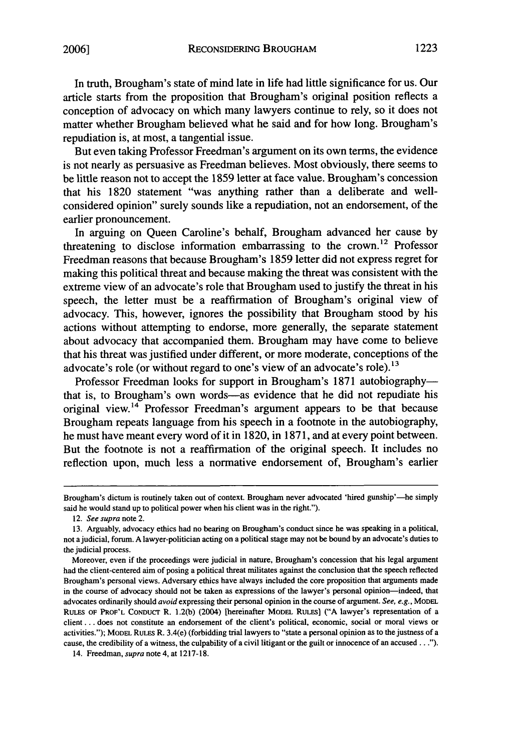In truth, Brougham's state of mind late in life had little significance for us. Our article starts from the proposition that Brougham's original position reflects a conception of advocacy on which many lawyers continue to rely, so it does not matter whether Brougham believed what he said and for how long. Brougham's repudiation is, at most, a tangential issue.

But even taking Professor Freedman's argument on its own terms, the evidence is not nearly as persuasive as Freedman believes. Most obviously, there seems to be little reason not to accept the 1859 letter at face value. Brougham's concession that his 1820 statement "was anything rather than a deliberate and wellconsidered opinion" surely sounds like a repudiation, not an endorsement, of the earlier pronouncement.

In arguing on Queen Caroline's behalf, Brougham advanced her cause by threatening to disclose information embarrassing to the crown.<sup>12</sup> Professor Freedman reasons that because Brougham's 1859 letter did not express regret for making this political threat and because making the threat was consistent with the extreme view of an advocate's role that Brougham used to justify the threat in his speech, the letter must be a reaffirmation of Brougham's original view of advocacy. This, however, ignores the possibility that Brougham stood by his actions without attempting to endorse, more generally, the separate statement about advocacy that accompanied them. Brougham may have come to believe that his threat was justified under different, or more moderate, conceptions of the advocate's role (or without regard to one's view of an advocate's role).<sup>13</sup>

Professor Freedman looks for support in Brougham's 1871 autobiographythat is, to Brougham's own words-as evidence that he did not repudiate his original view.<sup>14</sup> Professor Freedman's argument appears to be that because Brougham repeats language from his speech in a footnote in the autobiography, he must have meant every word of it in 1820, in 1871, and at every point between. But the footnote is not a reaffirmation of the original speech. It includes no reflection upon, much less a normative endorsement of, Brougham's earlier

Brougham's dictum is routinely taken out of context. Brougham never advocated 'hired gunship'—he simply said he would stand up to political power when his client was in the right.").

<sup>12.</sup> See supra note 2.

<sup>13.</sup> Arguably, advocacy ethics had no bearing on Brougham's conduct since he was speaking in a political, not a judicial, forum. A lawyer-politician acting on a political stage may not be bound by an advocate's duties to the judicial process.

Moreover, even if the proceedings were judicial in nature, Brougham's concession that his legal argument had the client-centered aim of posing a political threat militates against the conclusion that the speech reflected Brougham's personal views. Adversary ethics have always included the core proposition that arguments made in the course of advocacy should not be taken as expressions of the lawyer's personal opinion-indeed, that advocates ordinarily should avoid expressing their personal opinion in the course of argument. See, e.g., MODEL RuLES **OF** PROF'L CoNDucT R. 1.2(b) (2004) [hereinafter MODEL RULES] **("A** lawyer's representation of a client... does not constitute an endorsement of the client's political, economic, social or moral views or activities."); MODEL RuLEs R. 3.4(e) (forbidding trial lawyers to "state a personal opinion as to the justness of a cause, the credibility of a witness, the culpability of a civil litigant or the guilt or innocence of an accused ...").

<sup>14.</sup> Freedman, supra note 4, at 1217-18.